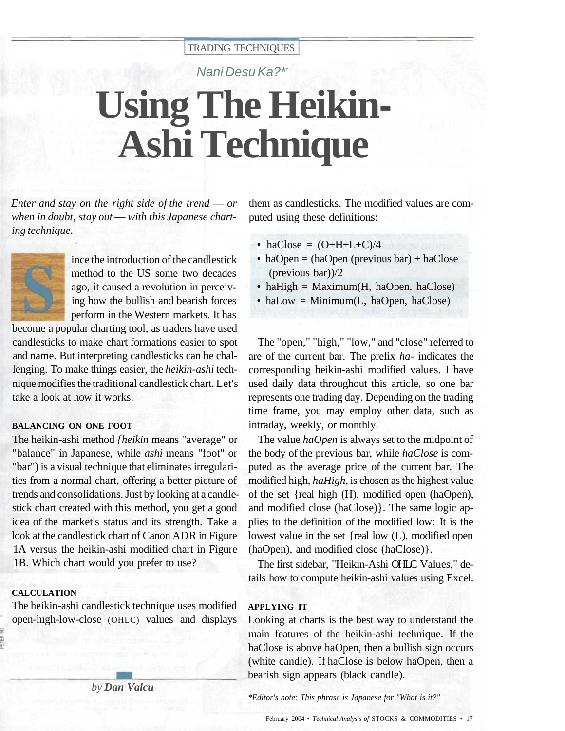## Nani Desu Ka?\*

# **Using The Heikin Ashi Technique**

*Enter and stay on the right side of the trend* — *or when in doubt, stay out* — *with this Japanese charting technique.*



ince the introduction of the candlestick method to the US some two decades ago, it caused a revolution in perceiving how the bullish and bearish forces perform in the Western markets. It has

become a popular charting tool, as traders have used candlesticks to make chart formations easier to spot and name. But interpreting candlesticks can be challenging. To make things easier, the *heikin-ashi* technique modifies the traditional candlestick chart. Let's take a look at how it works.

#### **BALANCING ON ONE FOOT**

The heikin-ashi method *{heikin* means "average" or "balance" in Japanese, while *ashi* means "foot" or "bar") is a visual technique that eliminates irregularities from a normal chart, offering a better picture of trends and consolidations. Just by looking at a candlestick chart created with this method, you get a good idea of the market's status and its strength. Take a look at the candlestick chart of Canon ADR in Figure 1A versus the heikin-ashi modified chart in Figure 1B. Which chart would you prefer to use?

## **CALCULATION**

The heikin-ashi candlestick technique uses modified open-high-low-close (OHLC) values and displays



them as candlesticks. The modified values are computed using these definitions:

- haClose =  $(O+H+L+C)/4$
- haOpen = (haOpen (previous bar) + haClose (previous bar))/2
- haHigh = Maximum(H, haOpen, haClose)
- haLow = Minimum(L, haOpen, haClose)

The "open," "high," "low," and "close" referred to are of the current bar. The prefix *ha-* indicates the corresponding heikin-ashi modified values. I have used daily data throughout this article, so one bar represents one trading day. Depending on the trading time frame, you may employ other data, such as intraday, weekly, or monthly.

The value *haOpen* is always set to the midpoint of the body of the previous bar, while *haClose* is computed as the average price of the current bar. The modified high, *haHigh,* is chosen as the highest value of the set {real high (H), modified open (haOpen), and modified close (haClose)}. The same logic applies to the definition of the modified low: It is the lowest value in the set {real low (L), modified open (haOpen), and modified close (haClose)}.

The first sidebar, "Heikin-Ashi OHLC Values," details how to compute heikin-ashi values using Excel.

## **APPLYING IT**

Looking at charts is the best way to understand the main features of the heikin-ashi technique. If the haClose is above haOpen, then a bullish sign occurs (white candle). If haClose is below haOpen, then a bearish sign appears (black candle).

*\*Editor's note: This phrase is Japanese for "What is it?"*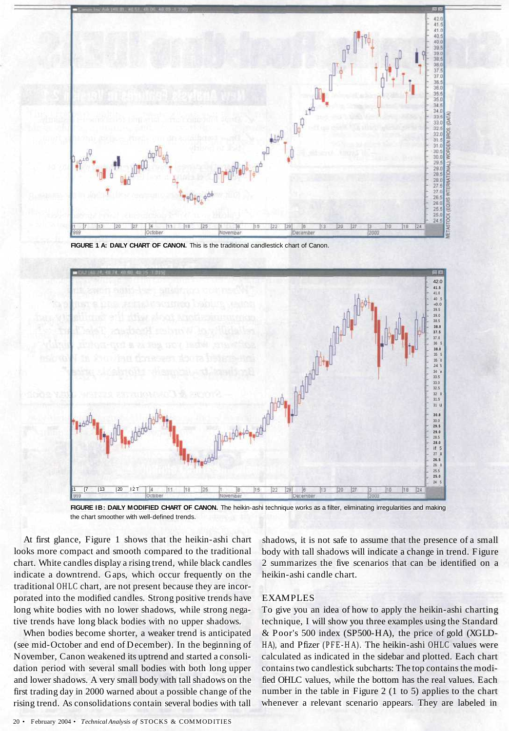

FIGURE 1 A: DAILY CHART OF CANON. This is the traditional candlestick chart of Canon



FIGURE IB: DAILY MODIFIED CHART OF CANON. The heikin ashi technique works as a filter, eliminating irregularities and making the chart smoother with well-defined trends.

At first glance, Figure 1 shows that the heikin ashi chart looks more compact and smooth compared to the traditional chart. White candles display a rising trend, while black candles indicate a downtrend. Gaps, which occur frequently on the traditional OHLC chart, are not present because they are incor porated into the modified candles. Strong positive trends have long white bodies with no lower shadows, while strong nega tive trends have long black bodies with no upper shadows.

When bodies become shorter, a weaker trend is anticipated (see mid-October and end of December). In the beginning of November, Canon weakened its uptrend and started a consoli dation period with several small bodies with both long upper and lower shadows. A very small body with tall shadows on the first trading day in 2000 warned about a possible change of the rising trend. As consolidations contain several bodies with tall

shadows, it is not safe to assume that the presence of a small body with tall shadows will indicate a change in trend. Figure 2 summarizes the five scenarios that can be identified on a heikin-ashi candle chart.

#### EXAMPLES

To give you an idea of how to apply the heikin-ashi charting technique, I will show you three examples using the Standard & Poor's 500 index (SP500-HA), the price of gold (XGLD HA), and Pfizer (PFE-HA). The heikin-ashi OHLC values were calculated as indicated in the sidebar and plotted. Each chart contains two candlestick subcharts: The top contains the modi fied OHLC values, while the bottom has the real values. Each number in the table in Figure 2 (1 to 5) applies to the chart whenever a relevant scenario appears. They are labeled in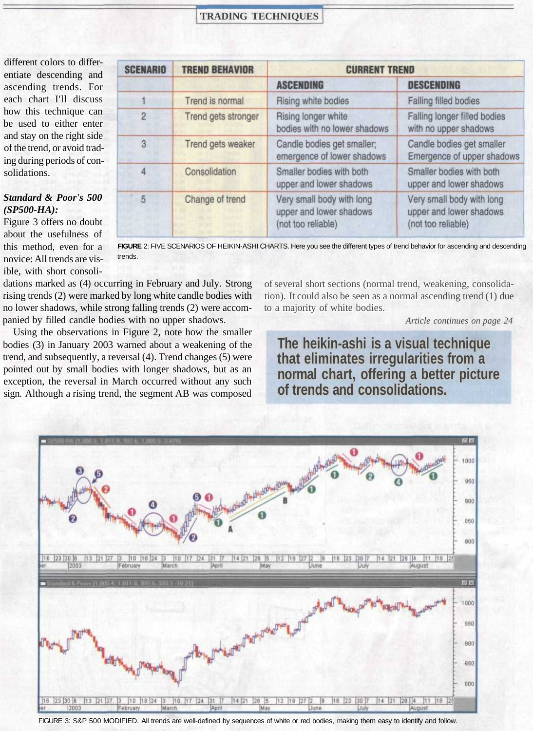different colors to differentiate descending and ascending trends. For each chart I'll discuss how this technique can be used to either enter and stay on the right side of the trend, or avoid trading during periods of consolidations.

#### *Standard & Poor's 500 (SP500-HA):*

Figure 3 offers no doubt about the usefulness of this method, even for a novice: All trends are visible, with short consoli-

dations marked as (4) occurring in February and July. Strong rising trends (2) were marked by long white candle bodies with no lower shadows, while strong falling trends (2) were accompanied by filled candle bodies with no upper shadows.

Using the observations in Figure 2, note how the smaller bodies (3) in January 2003 warned about a weakening of the trend, and subsequently, a reversal (4). Trend changes (5) were pointed out by small bodies with longer shadows, but as an exception, the reversal in March occurred without any such sign. Although a rising trend, the segment AB was composed

| <b>SCENARIO</b> | <b>TREND BEHAVIOR</b> | <b>CURRENT TREND</b>                                                                                       |                                                                            |  |  |
|-----------------|-----------------------|------------------------------------------------------------------------------------------------------------|----------------------------------------------------------------------------|--|--|
|                 |                       | <b>ASCENDING</b>                                                                                           | <b>DESCENDING</b>                                                          |  |  |
|                 | Trend is normal       | Rising white bodies                                                                                        | Falling filled bodies                                                      |  |  |
| $\overline{2}$  | Trend gets stronger   | Rising longer white<br>bodies with no lower shadows                                                        | Falling longer filled bodies<br>with no upper shadows                      |  |  |
| 3               | Trend gets weaker     | Candle bodies get smaller;<br>emergence of lower shadows                                                   | Candle bodies get smaller<br>Emergence of upper shadows                    |  |  |
| $\overline{4}$  | Consolidation         | Smaller bodies with both<br>Smaller bodies with both<br>upper and lower shadows<br>upper and lower shadows |                                                                            |  |  |
| 5               | Change of trend       | Very small body with long<br>upper and lower shadows<br>(not too reliable)                                 | Very small body with long<br>upper and lower shadows<br>(not too reliable) |  |  |

**FIGURE** 2: FIVE SCENARIOS OF HEIKIN-ASHI CHARTS. Here you see the different types of trend behavior for ascending and descending trends.

> of several short sections (normal trend, weakening, consolidation). It could also be seen as a normal ascending trend (1) due to a majority of white bodies.

> > *Article continues on page 24*

**The heikin-ashi is a visual technique that eliminates irregularities from a normal chart, offering a better picture of trends and consolidations.**



FIGURE 3: S&P 500 MODIFIED. All trends are well-defined by sequences of white or red bodies, making them easy to identify and follow.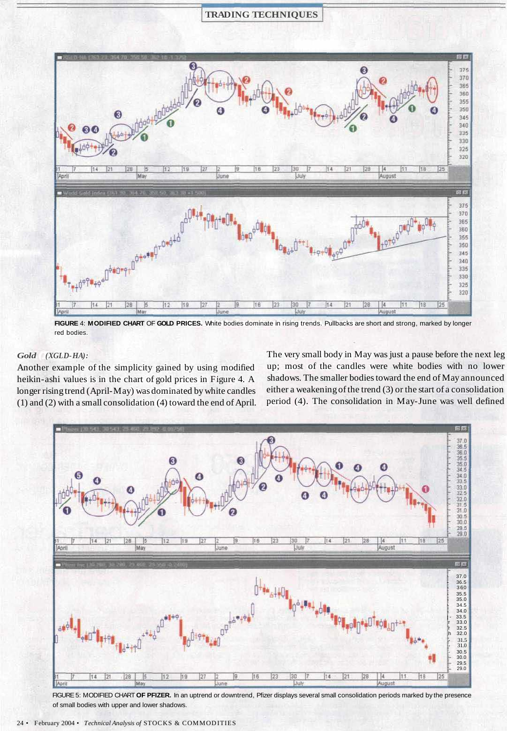

**FIGURE** 4: **MODIFIED CHART** OF **GOLD PRICES.** White bodies dominate in rising trends. Pullbacks are short and strong, marked by longer red bodies

#### *Gold (XGLD-HA):*

Another example of the simplicity gained by using modified heikin-ashi values is in the chart of gold prices in Figure 4. A longer rising trend (April-May) was dominated by white candles (1) and (2) with a small consolidation (4) toward the end of April.

The very small body in May was just a pause before the next leg up; most of the candles were white bodies with no lower shadows. The smaller bodies toward the end of May announced either a weakening of the trend (3) or the start of a consolidation period (4). The consolidation in May-June was well defined



FIGURE 5: MODIFIED CHART **OF PFIZER.** In an uptrend or downtrend, Pfizer displays several small consolidation periods marked by the presence of small bodies with upper and lower shadows.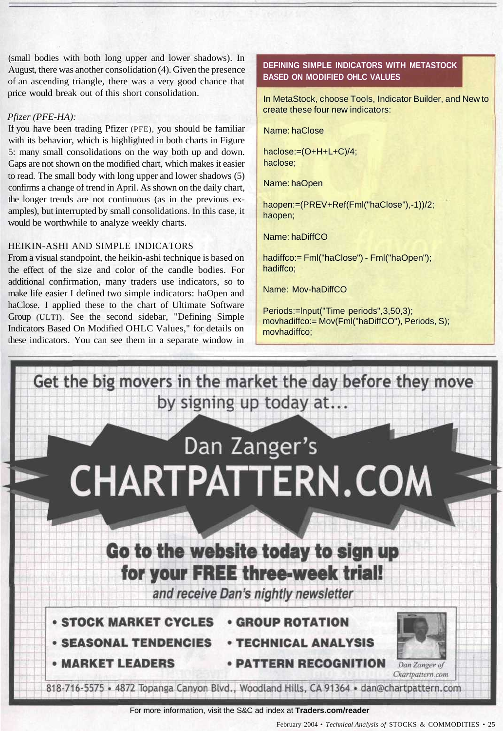(small bodies with both long upper and lower shadows). In August, there was another consolidation (4). Given the presence of an ascending triangle, there was a very good chance that price would break out of this short consolidation.

#### *Pfizer (PFE-HA):*

If you have been trading Pfizer (PFE), you should be familiar with its behavior, which is highlighted in both charts in Figure 5: many small consolidations on the way both up and down. Gaps are not shown on the modified chart, which makes it easier to read. The small body with long upper and lower shadows (5) confirms a change of trend in April. As shown on the daily chart, the longer trends are not continuous (as in the previous examples), but interrupted by small consolidations. In this case, it would be worthwhile to analyze weekly charts.

#### HEIKIN-ASHI AND SIMPLE INDICATORS

From a visual standpoint, the heikin-ashi technique is based on the effect of the size and color of the candle bodies. For additional confirmation, many traders use indicators, so to make life easier I defined two simple indicators: haOpen and haClose. I applied these to the chart of Ultimate Software Group (ULTI). See the second sidebar, "Defining Simple Indicators Based On Modified OHLC Values," for details on these indicators. You can see them in a separate window in

## **DEFINING SIMPLE INDICATORS WITH METASTOCK BASED ON MODIFIED OHLC VALUES**

In MetaStock, choose Tools, Indicator Builder, and New to create these four new indicators:

Name: haClose

haclose:=(O+H+L+C)/4; haclose;

Name: haOpen

haopen:=(PREV+Ref(Fml("haClose"),-1))/2; haopen;

Name: haDiffCO

hadiffco:= Fml("haClose") - Fml("haOpen"); hadiffco;

Name: Mov-haDiffCO

Periods:=lnput("Time periods",3,50,3); movhadiffco:= Mov(Fml("haDiffCO"), Periods, S); movhadiffco;



For more information, visit the S&C ad index at **Traders.com/reader**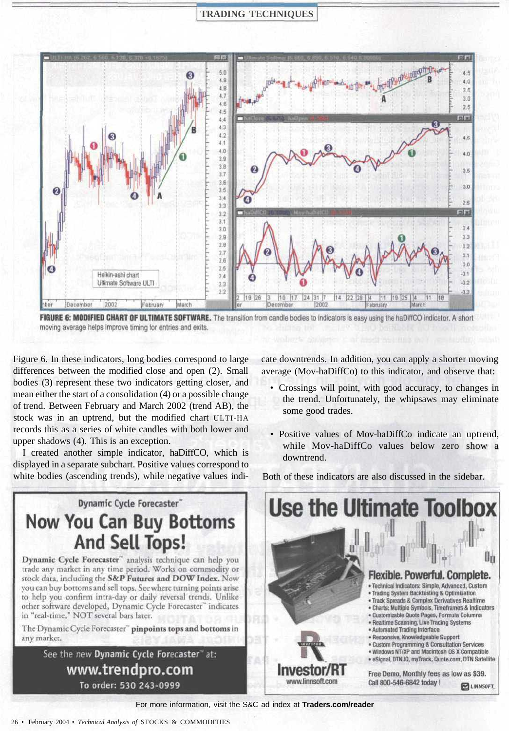

FIGURE 6: MODIFIED CHART OF ULTIMATE SOFTWARE. The transition from candle bodies to indicators is easy using the haDiffCO indicator. A short moving average helps improve timing for entries and exits.

Figure 6. In these indicators, long bodies correspond to large differences between the modified close and open (2). Small bodies (3) represent these two indicators getting closer, and mean either the start of a consolidation (4) or a possible change of trend. Between February and March 2002 (trend AB), the stock was in an uptrend, but the modified chart ULTI-HA records this as a series of white candles with both lower and upper shadows (4). This is an exception.

I created another simple indicator, haDiffCO, which is displayed in a separate subchart. Positive values correspond to white bodies (ascending trends), while negative values indicate downtrends. In addition, you can apply a shorter moving average (Mov-haDiffCo) to this indicator, and observe that:

- Crossings will point, with good accuracy, to changes in the trend. Unfortunately, the whipsaws may eliminate some good trades.
- Positive values of Mov-haDiffCo indicate an uptrend, while Mov-haDiffCo values below zero show a downtrend.

Both of these indicators are also discussed in the sidebar.



For more information, visit the S&C ad index at **Traders.com/reader**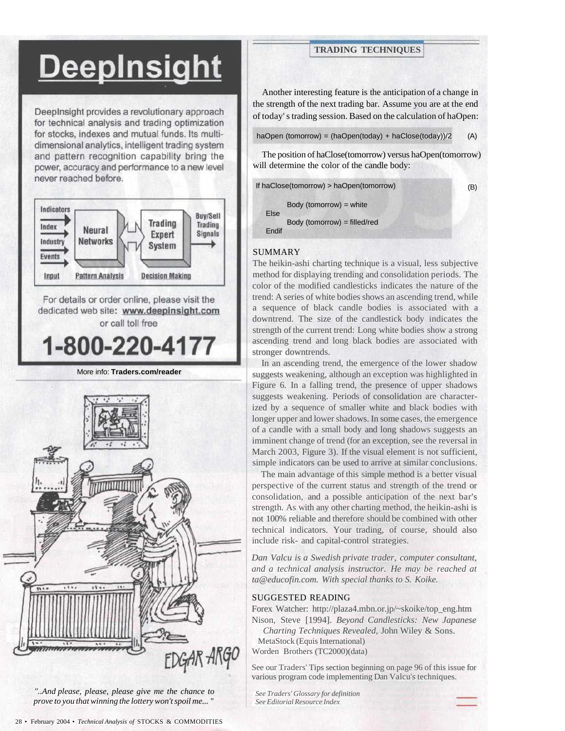## **DeepInsight**

DeepInsight provides a revolutionary approach for technical analysis and trading optimization for stocks, indexes and mutual funds. Its multidimensional analytics, intelligent trading system and pattern recognition capability bring the power, accuracy and performance to a new level never reached before.



For details or order online, please visit the dedicated web site: www.deepinsight.com or call toll free

1-800-220-4177

More info: **Traders.com/reader**



*"..And please, please, please give me the chance to prove to you that winning the lottery won't spoil me... "*

#### 28 • February 2004 • *Technical Analysis of* STOCKS & COMMODITIES

#### **TRADING TECHNIQUES**

Another interesting feature is the anticipation of a change in the strength of the next trading bar. Assume you are at the end of today' s trading session. Based on the calculation of haOpen:

haOpen (tomorrow) = (haOpen(today) + haClose(today))/2 (A)

The position of haClose(tomorrow) versus haOpen(tomorrow) will determine the color of the candle body:

(B)

If haClose(tomorrow) > haOpen(tomorrow)

Else Body (tomorrow) = white Body (tomorrow) = filled/red Endif

#### SUMMARY

The heikin-ashi charting technique is a visual, less subjective method for displaying trending and consolidation periods. The color of the modified candlesticks indicates the nature of the trend: A series of white bodies shows an ascending trend, while a sequence of black candle bodies is associated with a downtrend. The size of the candlestick body indicates the strength of the current trend: Long white bodies show a strong ascending trend and long black bodies are associated with stronger downtrends.

In an ascending trend, the emergence of the lower shadow suggests weakening, although an exception was highlighted in Figure 6. In a falling trend, the presence of upper shadows suggests weakening. Periods of consolidation are characterized by a sequence of smaller white and black bodies with longer upper and lower shadows. In some cases, the emergence of a candle with a small body and long shadows suggests an imminent change of trend (for an exception, see the reversal in March 2003, Figure 3). If the visual element is not sufficient, simple indicators can be used to arrive at similar conclusions.

The main advantage of this simple method is a better visual perspective of the current status and strength of the trend or consolidation, and a possible anticipation of the next bar's strength. As with any other charting method, the heikin-ashi is not 100% reliable and therefore should be combined with other technical indicators. Your trading, of course, should also include risk- and capital-control strategies.

*Dan Valcu is a Swedish private trader, computer consultant, and a technical analysis instructor. He may be reached at ta@educofin.com. With special thanks to S. Koike.*

#### SUGGESTED READING

Forex Watcher: http://plaza4.mbn.or.jp/~skoike/top\_eng.htm Nison, Steve [1994]. *Beyond Candlesticks: New Japanese*

*Charting Techniques Revealed,* John Wiley & Sons. MetaStock (Equis International) Worden Brothers (TC2000)(data)

See our Traders' Tips section beginning on page 96 of this issue for various program code implementing Dan Valcu's techniques.

*See Traders' Glossary for definition See Editorial Resource Index*